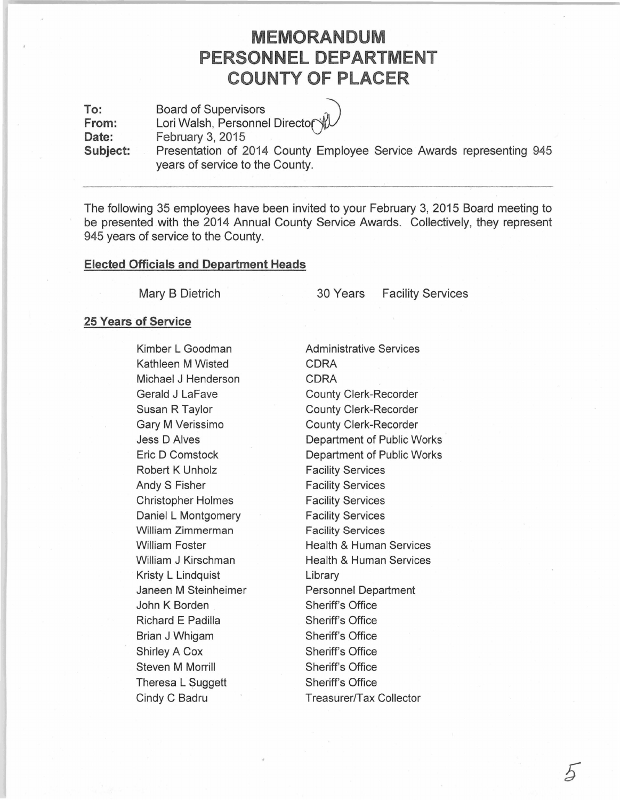# **MEMORANDUM PERSONNEL DEPARTMENT COUNTY OF PLACER**

**To: From:**  Date: **Subject:**  Board of Supervisors Lori Walsh, Personnel Director February 3, 2015 Presentation of 2014 County Employee Service Awards representing 945 years of service to the County.

The following 35 employees have been invited to your February 3, 2015 Board meeting to be presented with the 2014 Annual County Service Awards. Collectively, they represent 945 years of service to the County.

### **Elected Officials and Department Heads**

Mary B Dietrich

30 Years Facility Services

#### **25 Years of Service**

Kimber L Goodman Kathleen M Wisted Michael J Henderson Gerald J LaFave Susan R Taylor Gary M Verissimo Jess D Alves Eric D Comstock Robert K Unholz Andy S Fisher Christopher Holmes Daniel L Montgomery William Zimmerman William Foster William J Kirschman Kristy L Lindquist Janeen M Steinheimer John K Borden Richard E Padilla Brian J Whigam Shirley A Cox Steven M Morrill Theresa L Suggett Cindy C Badru

Administrative Services CORA CORA County Clerk-Recorder County Clerk-Recorder County Clerk-Recorder Department of Public Works Department of Public Works Facility Services Facility Services Facility Services Facility Services Facility Services Health & Human Services Health & Human Services Library Personnel Department Sheriff's Office Sheriff's Office Sheriff's Office Sheriff's Office Sheriff's Office Sheriff's Office Treasurer/Tax Collector